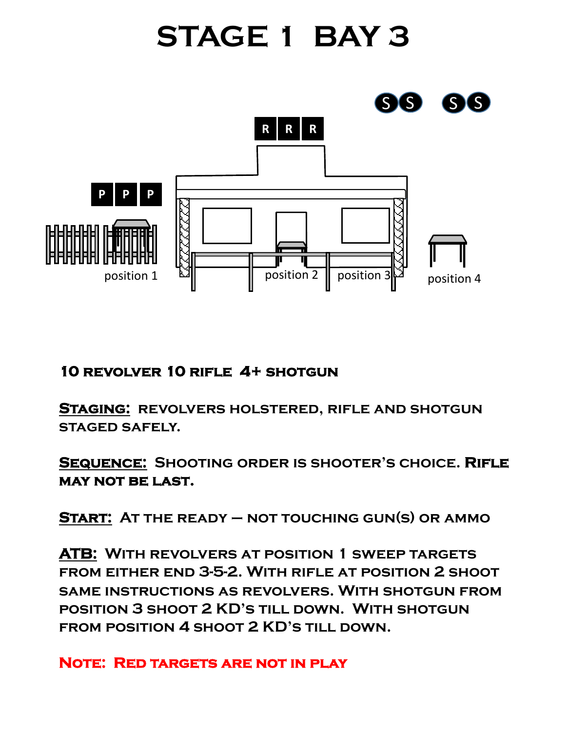# **STAGE 1 BAY 3**



### **10 revolver 10 rifle 4+ shotgun**

**Staging: revolvers holstered, rifle and shotgun staged safely.** 

**Sequence: Shooting order is shooter's choice. Rifle may not be last.** 

**Start: At the ready – not touching gun(s) or ammo**

**ATB: With revolvers at position 1 sweep targets from either end 3-5-2. With rifle at position 2 shoot same instructions as revolvers. With shotgun from position 3 shoot 2 KD's till down. With shotgun**  FROM POSITION 4 SHOOT 2 KD'S TILL DOWN.

**Note: Red targets are not in play**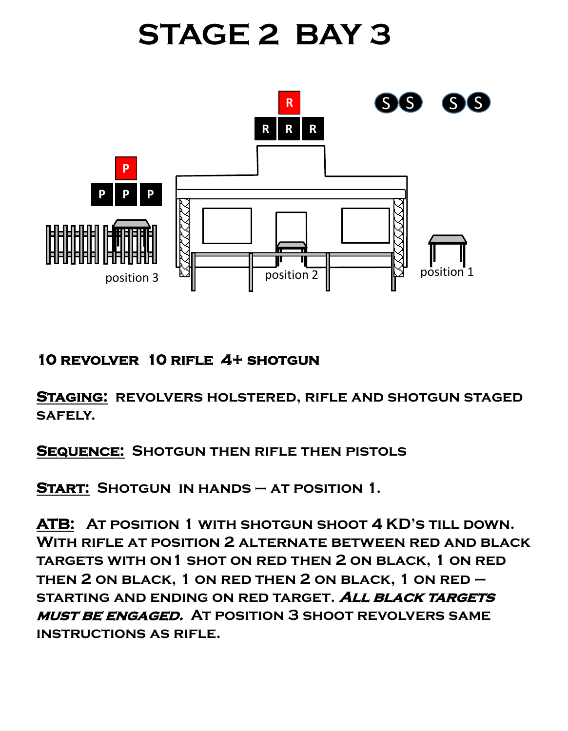# **STAGE 2 BAY 3**



### **10 revolver 10 rifle 4+ shotgun**

**Staging: revolvers holstered, rifle and shotgun staged safely.** 

**Sequence: Shotgun then rifle then pistols**

**Start: Shotgun in hands – at position 1.**

**ATB: At position 1 with shotgun shoot 4 KD's till down. With rifle at position 2 alternate between red and black targets with on1 shot on red then 2 on black, 1 on red then 2 on black, 1 on red then 2 on black, 1 on red – starting and ending on red target. All black targets must be engaged. At position 3 shoot revolvers same instructions as rifle.**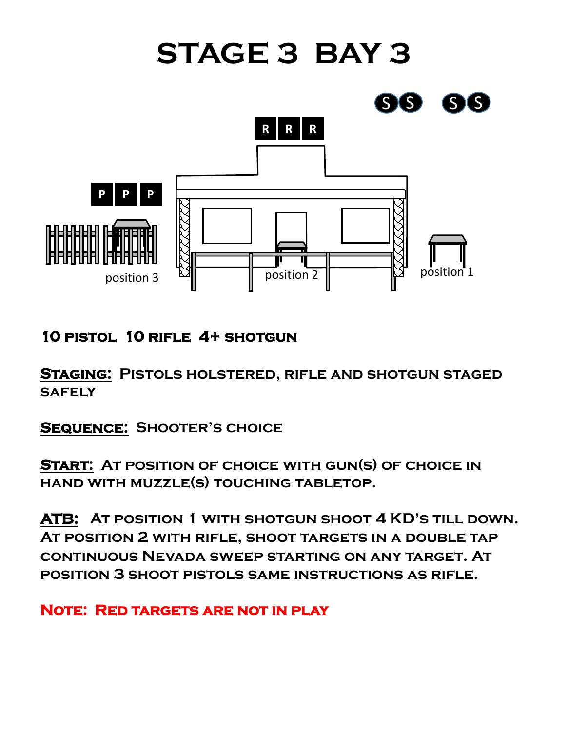

**10 pistol 10 rifle 4+ shotgun**

**Staging: Pistols holstered, rifle and shotgun staged safely**

**Sequence: Shooter's choice**

**Start: At position of choice with gun(s) of choice in hand with muzzle(s) touching tabletop.**

**ATB: At position 1 with shotgun shoot 4 KD's till down. At position 2 with rifle, shoot targets in a double tap continuous Nevada sweep starting on any target. At position 3 shoot pistols same instructions as rifle.**

**Note: Red targets are not in play**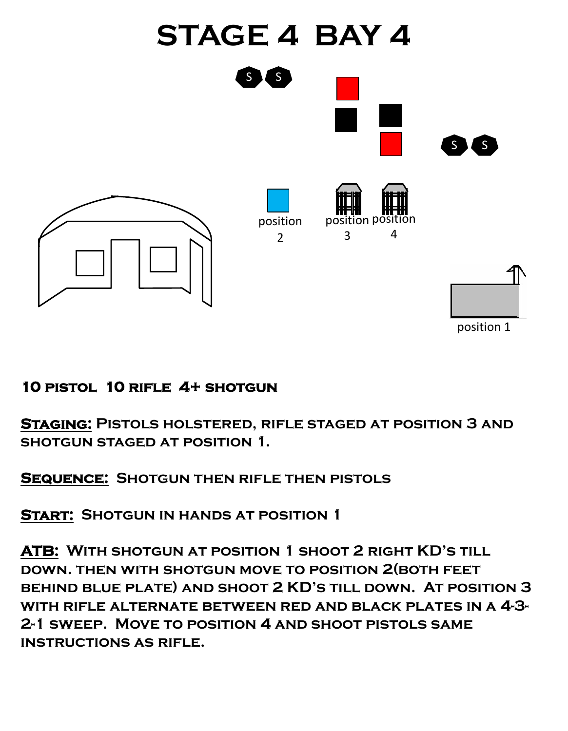

#### **10 pistol 10 rifle 4+ shotgun**

**Staging: Pistols holstered, rifle staged at position 3 and shotgun staged at position 1.**

**Sequence: Shotgun then rifle then pistols**

**Start: Shotgun in hands at position 1**

**ATB: With shotgun at position 1 shoot 2 right KD's till down. then with shotgun move to position 2(both feet behind blue plate) and shoot 2 KD's till down. At position 3 with rifle alternate between red and black plates in a 4-3- 2-1 sweep. Move to position 4 and shoot pistols same instructions as rifle.**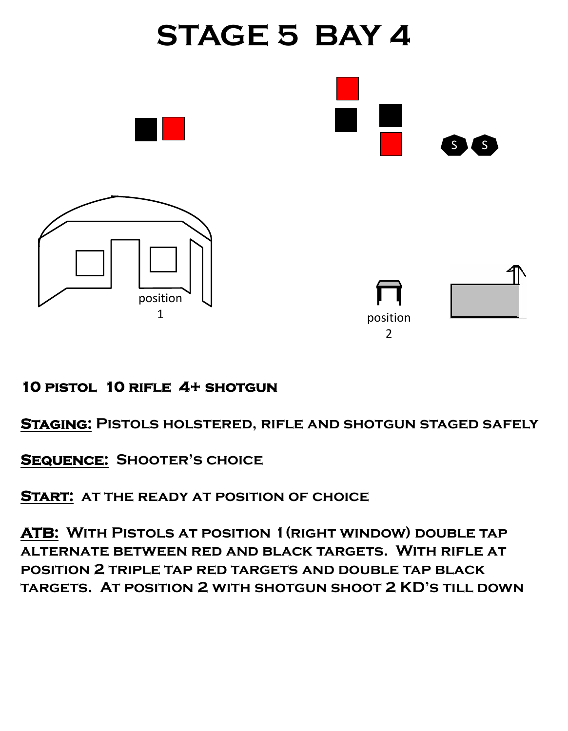

#### **10 pistol 10 rifle 4+ shotgun**

**Staging: Pistols holstered, rifle and shotgun staged safely**

**Sequence: Shooter's choice**

**Start: at the ready at position of choice**

**ATB: With Pistols at position 1(right window) double tap alternate between red and black targets. With rifle at position 2 triple tap red targets and double tap black targets. At position 2 with shotgun shoot 2 KD's till down**